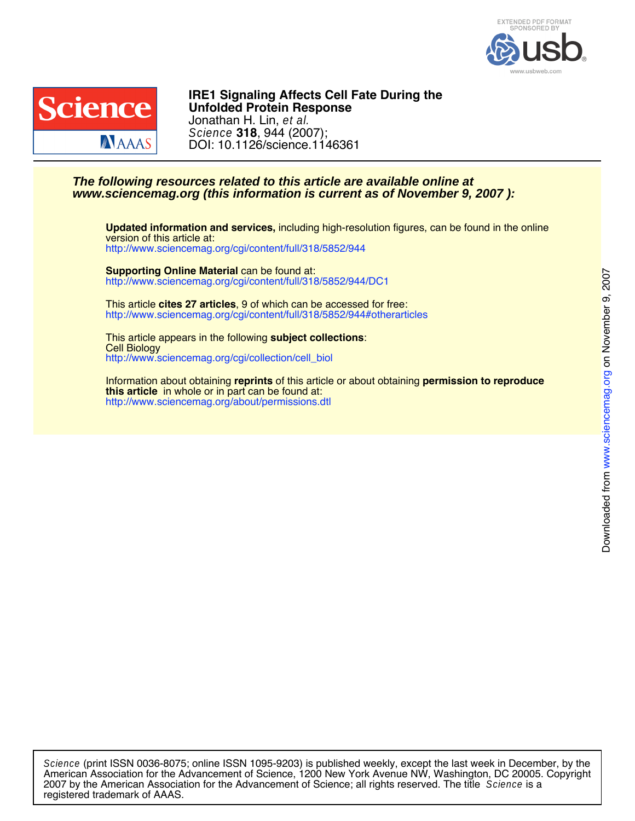



DOI: 10.1126/science.1146361 Science **318**, 944 (2007); Jonathan H. Lin, et al. **Unfolded Protein Response IRE1 Signaling Affects Cell Fate During the**

### **www.sciencemag.org (this information is current as of November 9, 2007 ): The following resources related to this article are available online at**

<http://www.sciencemag.org/cgi/content/full/318/5852/944> version of this article at: **Updated information and services,** including high-resolution figures, can be found in the online

<http://www.sciencemag.org/cgi/content/full/318/5852/944/DC1> **Supporting Online Material** can be found at:

<http://www.sciencemag.org/cgi/content/full/318/5852/944#otherarticles> This article **cites 27 articles**, 9 of which can be accessed for free:

[http://www.sciencemag.org/cgi/collection/cell\\_biol](http://www.sciencemag.org/cgi/collection/cell_biol) Cell Biology This article appears in the following **subject collections**:

<http://www.sciencemag.org/about/permissions.dtl> **this article** in whole or in part can be found at: Information about obtaining **reprints** of this article or about obtaining **permission to reproduce**

registered trademark of AAAS. 2007 by the American Association for the Advancement of Science; all rights reserved. The title Science is a American Association for the Advancement of Science, 1200 New York Avenue NW, Washington, DC 20005. Copyright Science (print ISSN 0036-8075; online ISSN 1095-9203) is published weekly, except the last week in December, by the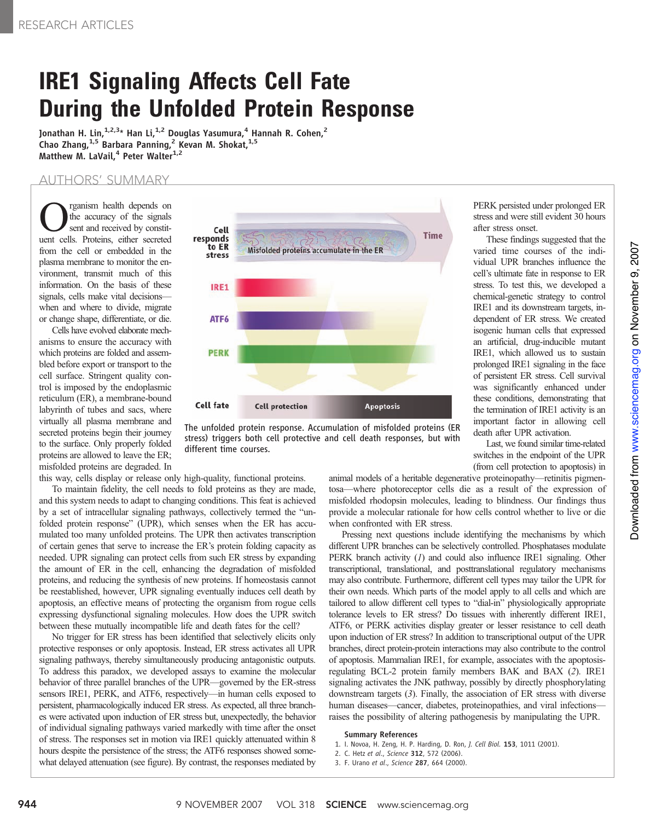# IRE1 Signaling Affects Cell Fate During the Unfolded Protein Response

Jonathan H. Lin,  $1,2,3*$  Han Li,  $1,2$  Douglas Yasumura, <sup>4</sup> Hannah R. Cohen, <sup>2</sup> Chao Zhang,  $1.5$  Barbara Panning, <sup>2</sup> Kevan M. Shokat,  $1.5$ Matthew M. LaVail,<sup>4</sup> Peter Walter<sup>1,2</sup>

### AUTHORS' SUMMARY

**C** reganism health depends on<br>the accuracy of the signals<br>sent and received by constitthe accuracy of the signals sent and received by constituent cells. Proteins, either secreted from the cell or embedded in the plasma membrane to monitor the environment, transmit much of this information. On the basis of these signals, cells make vital decisions when and where to divide, migrate or change shape, differentiate, or die.

Cells have evolved elaborate mechanisms to ensure the accuracy with which proteins are folded and assembled before export or transport to the cell surface. Stringent quality control is imposed by the endoplasmic reticulum (ER), a membrane-bound labyrinth of tubes and sacs, where virtually all plasma membrane and secreted proteins begin their journey to the surface. Only properly folded proteins are allowed to leave the ER; misfolded proteins are degraded. In

this way, cells display or release only high-quality, functional proteins.

To maintain fidelity, the cell needs to fold proteins as they are made, and this system needs to adapt to changing conditions. This feat is achieved by a set of intracellular signaling pathways, collectively termed the "unfolded protein response" (UPR), which senses when the ER has accumulated too many unfolded proteins. The UPR then activates transcription of certain genes that serve to increase the ER's protein folding capacity as needed. UPR signaling can protect cells from such ER stress by expanding the amount of ER in the cell, enhancing the degradation of misfolded proteins, and reducing the synthesis of new proteins. If homeostasis cannot be reestablished, however, UPR signaling eventually induces cell death by apoptosis, an effective means of protecting the organism from rogue cells expressing dysfunctional signaling molecules. How does the UPR switch between these mutually incompatible life and death fates for the cell?

No trigger for ER stress has been identified that selectively elicits only protective responses or only apoptosis. Instead, ER stress activates all UPR signaling pathways, thereby simultaneously producing antagonistic outputs. To address this paradox, we developed assays to examine the molecular behavior of three parallel branches of the UPR—governed by the ER-stress sensors IRE1, PERK, and ATF6, respectively—in human cells exposed to persistent, pharmacologically induced ER stress. As expected, all three branches were activated upon induction of ER stress but, unexpectedly, the behavior of individual signaling pathways varied markedly with time after the onset of stress. The responses set in motion via IRE1 quickly attenuated within 8 hours despite the persistence of the stress; the ATF6 responses showed somewhat delayed attenuation (see figure). By contrast, the responses mediated by



The unfolded protein response. Accumulation of misfolded proteins (ER stress) triggers both cell protective and cell death responses, but with different time courses.

PERK persisted under prolonged ER stress and were still evident 30 hours after stress onset.

These findings suggested that the varied time courses of the individual UPR branches influence the cell's ultimate fate in response to ER stress. To test this, we developed a chemical-genetic strategy to control IRE1 and its downstream targets, independent of ER stress. We created isogenic human cells that expressed an artificial, drug-inducible mutant IRE1, which allowed us to sustain prolonged IRE1 signaling in the face of persistent ER stress. Cell survival was significantly enhanced under these conditions, demonstrating that the termination of IRE1 activity is an important factor in allowing cell death after UPR activation.

Last, we found similar time-related switches in the endpoint of the UPR (from cell protection to apoptosis) in

animal models of a heritable degenerative proteinopathy—retinitis pigmentosa—where photoreceptor cells die as a result of the expression of misfolded rhodopsin molecules, leading to blindness. Our findings thus provide a molecular rationale for how cells control whether to live or die when confronted with ER stress.

Pressing next questions include identifying the mechanisms by which different UPR branches can be selectively controlled. Phosphatases modulate PERK branch activity (1) and could also influence IRE1 signaling. Other transcriptional, translational, and posttranslational regulatory mechanisms may also contribute. Furthermore, different cell types may tailor the UPR for their own needs. Which parts of the model apply to all cells and which are tailored to allow different cell types to "dial-in" physiologically appropriate tolerance levels to ER stress? Do tissues with inherently different IRE1, ATF6, or PERK activities display greater or lesser resistance to cell death upon induction of ER stress? In addition to transcriptional output of the UPR branches, direct protein-protein interactions may also contribute to the control of apoptosis. Mammalian IRE1, for example, associates with the apoptosisregulating BCL-2 protein family members BAK and BAX (2). IRE1 signaling activates the JNK pathway, possibly by directly phosphorylating downstream targets (3). Finally, the association of ER stress with diverse human diseases—cancer, diabetes, proteinopathies, and viral infections raises the possibility of altering pathogenesis by manipulating the UPR.

#### Summary References

- 1. I. Novoa, H. Zeng, H. P. Harding, D. Ron, J. Cell Biol. 153, 1011 (2001).
- 2. C. Hetz et al., Science 312, 572 (2006).
- 3. F. Urano et al., Science 287, 664 (2000).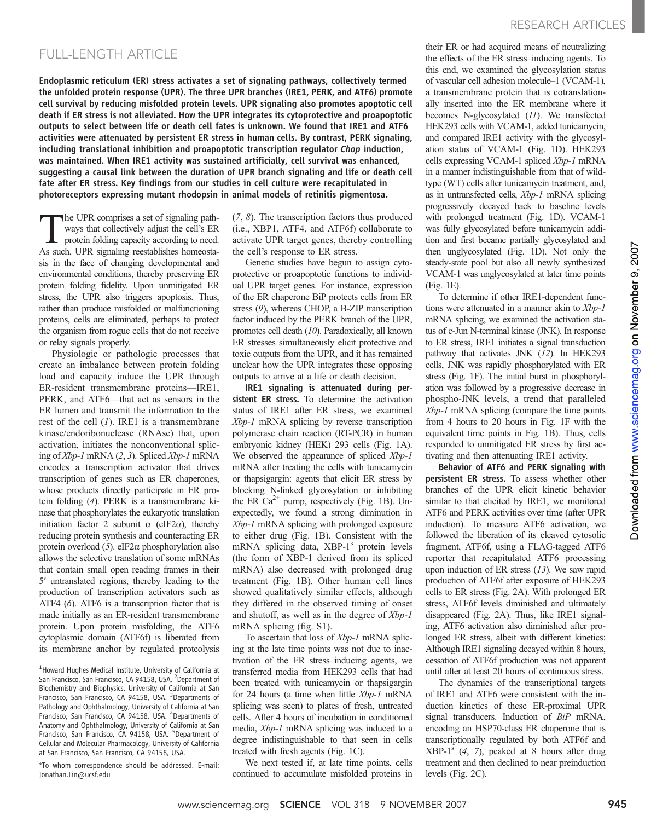## FULL-LENGTH ARTICLE

Endoplasmic reticulum (ER) stress activates a set of signaling pathways, collectively termed the unfolded protein response (UPR). The three UPR branches (IRE1, PERK, and ATF6) promote cell survival by reducing misfolded protein levels. UPR signaling also promotes apoptotic cell death if ER stress is not alleviated. How the UPR integrates its cytoprotective and proapoptotic outputs to select between life or death cell fates is unknown. We found that IRE1 and ATF6 activities were attenuated by persistent ER stress in human cells. By contrast, PERK signaling, including translational inhibition and proapoptotic transcription regulator Chop induction, was maintained. When IRE1 activity was sustained artificially, cell survival was enhanced, suggesting a causal link between the duration of UPR branch signaling and life or death cell fate after ER stress. Key findings from our studies in cell culture were recapitulated in photoreceptors expressing mutant rhodopsin in animal models of retinitis pigmentosa.

The UPR comprises a set of signaling path-<br>ways that collectively adjust the cell's ER<br>protein folding capacity according to need. ways that collectively adjust the cell's ER protein folding capacity according to need. As such, UPR signaling reestablishes homeostasis in the face of changing developmental and environmental conditions, thereby preserving ER protein folding fidelity. Upon unmitigated ER stress, the UPR also triggers apoptosis. Thus, rather than produce misfolded or malfunctioning proteins, cells are eliminated, perhaps to protect the organism from rogue cells that do not receive or relay signals properly.

Physiologic or pathologic processes that create an imbalance between protein folding load and capacity induce the UPR through ER-resident transmembrane proteins—IRE1, PERK, and ATF6—that act as sensors in the ER lumen and transmit the information to the rest of the cell  $(I)$ . IRE1 is a transmembrane kinase/endoribonuclease (RNAse) that, upon activation, initiates the nonconventional splicing of Xbp-1 mRNA (2, 3). Spliced Xbp-1 mRNA encodes a transcription activator that drives transcription of genes such as ER chaperones, whose products directly participate in ER protein folding (4). PERK is a transmembrane kinase that phosphorylates the eukaryotic translation initiation factor 2 subunit  $\alpha$  (eIF2 $\alpha$ ), thereby reducing protein synthesis and counteracting ER protein overload  $(5)$ . eIF2 $\alpha$  phosphorylation also allows the selective translation of some mRNAs that contain small open reading frames in their 5′ untranslated regions, thereby leading to the production of transcription activators such as ATF4 (6). ATF6 is a transcription factor that is made initially as an ER-resident transmembrane protein. Upon protein misfolding, the ATF6 cytoplasmic domain (ATF6f) is liberated from its membrane anchor by regulated proteolysis

\*To whom correspondence should be addressed. E-mail: Jonathan.Lin@ucsf.edu

(7, 8). The transcription factors thus produced (i.e., XBP1, ATF4, and ATF6f) collaborate to activate UPR target genes, thereby controlling the cell's response to ER stress.

Genetic studies have begun to assign cytoprotective or proapoptotic functions to individual UPR target genes. For instance, expression of the ER chaperone BiP protects cells from ER stress (9), whereas CHOP, a B-ZIP transcription factor induced by the PERK branch of the UPR, promotes cell death (10). Paradoxically, all known ER stresses simultaneously elicit protective and toxic outputs from the UPR, and it has remained unclear how the UPR integrates these opposing outputs to arrive at a life or death decision.

IRE1 signaling is attenuated during persistent ER stress. To determine the activation status of IRE1 after ER stress, we examined Xbp-1 mRNA splicing by reverse transcription polymerase chain reaction (RT-PCR) in human embryonic kidney (HEK) 293 cells (Fig. 1A). We observed the appearance of spliced Xbp-1 mRNA after treating the cells with tunicamycin or thapsigargin: agents that elicit ER stress by blocking N-linked glycosylation or inhibiting the ER  $Ca^{2+}$  pump, respectively (Fig. 1B). Unexpectedly, we found a strong diminution in Xbp-1 mRNA splicing with prolonged exposure to either drug (Fig. 1B). Consistent with the mRNA splicing data, XBP-1<sup>s</sup> protein levels (the form of XBP-1 derived from its spliced mRNA) also decreased with prolonged drug treatment (Fig. 1B). Other human cell lines showed qualitatively similar effects, although they differed in the observed timing of onset and shutoff, as well as in the degree of Xbp-1 mRNA splicing (fig. S1).

To ascertain that loss of *Xbp-1* mRNA splicing at the late time points was not due to inactivation of the ER stress–inducing agents, we transferred media from HEK293 cells that had been treated with tunicamycin or thapsigargin for 24 hours (a time when little Xbp-1 mRNA splicing was seen) to plates of fresh, untreated cells. After 4 hours of incubation in conditioned media, Xbp-1 mRNA splicing was induced to a degree indistinguishable to that seen in cells treated with fresh agents (Fig. 1C).

We next tested if, at late time points, cells continued to accumulate misfolded proteins in

their ER or had acquired means of neutralizing the effects of the ER stress–inducing agents. To this end, we examined the glycosylation status of vascular cell adhesion molecule–1 (VCAM-1), a transmembrane protein that is cotranslationally inserted into the ER membrane where it becomes N-glycosylated (11). We transfected HEK293 cells with VCAM-1, added tunicamycin, and compared IRE1 activity with the glycosylation status of VCAM-1 (Fig. 1D). HEK293 cells expressing VCAM-1 spliced Xbp-1 mRNA in a manner indistinguishable from that of wildtype (WT) cells after tunicamycin treatment, and, as in untransfected cells, Xbp-1 mRNA splicing progressively decayed back to baseline levels with prolonged treatment (Fig. 1D). VCAM-1 was fully glycosylated before tunicamycin addition and first became partially glycosylated and then unglycosylated (Fig. 1D). Not only the steady-state pool but also all newly synthesized VCAM-1 was unglycosylated at later time points (Fig. 1E).

To determine if other IRE1-dependent functions were attenuated in a manner akin to Xbp-1 mRNA splicing, we examined the activation status of c-Jun N-terminal kinase (JNK). In response to ER stress, IRE1 initiates a signal transduction pathway that activates JNK (12). In HEK293 cells, JNK was rapidly phosphorylated with ER stress (Fig. 1F). The initial burst in phosphorylation was followed by a progressive decrease in phospho-JNK levels, a trend that paralleled Xbp-1 mRNA splicing (compare the time points from 4 hours to 20 hours in Fig. 1F with the equivalent time points in Fig. 1B). Thus, cells responded to unmitigated ER stress by first activating and then attenuating IRE1 activity.

Behavior of ATF6 and PERK signaling with persistent ER stress. To assess whether other branches of the UPR elicit kinetic behavior similar to that elicited by IRE1, we monitored ATF6 and PERK activities over time (after UPR induction). To measure ATF6 activation, we followed the liberation of its cleaved cytosolic fragment, ATF6f, using a FLAG-tagged ATF6 reporter that recapitulated ATF6 processing upon induction of ER stress  $(13)$ . We saw rapid production of ATF6f after exposure of HEK293 cells to ER stress (Fig. 2A). With prolonged ER stress, ATF6f levels diminished and ultimately disappeared (Fig. 2A). Thus, like IRE1 signaling, ATF6 activation also diminished after prolonged ER stress, albeit with different kinetics: Although IRE1 signaling decayed within 8 hours, cessation of ATF6f production was not apparent until after at least 20 hours of continuous stress.

The dynamics of the transcriptional targets of IRE1 and ATF6 were consistent with the induction kinetics of these ER-proximal UPR signal transducers. Induction of  $BiP$  mRNA, encoding an HSP70-class ER chaperone that is transcriptionally regulated by both ATF6f and  $XBP-1<sup>s</sup>$  (4, 7), peaked at 8 hours after drug treatment and then declined to near preinduction levels (Fig. 2C).

<sup>&</sup>lt;sup>1</sup> Howard Hughes Medical Institute, University of California at San Francisco, San Francisco, CA 94158, USA. <sup>2</sup>Department of Biochemistry and Biophysics, University of California at San Francisco, San Francisco, CA 94158, USA. <sup>3</sup>Departments of Pathology and Ophthalmology, University of California at San Francisco, San Francisco, CA 94158, USA. <sup>4</sup>Departments of Anatomy and Ophthalmology, University of California at San Francisco, San Francisco, CA 94158, USA. <sup>5</sup>Department of Cellular and Molecular Pharmacology, University of California at San Francisco, San Francisco, CA 94158, USA.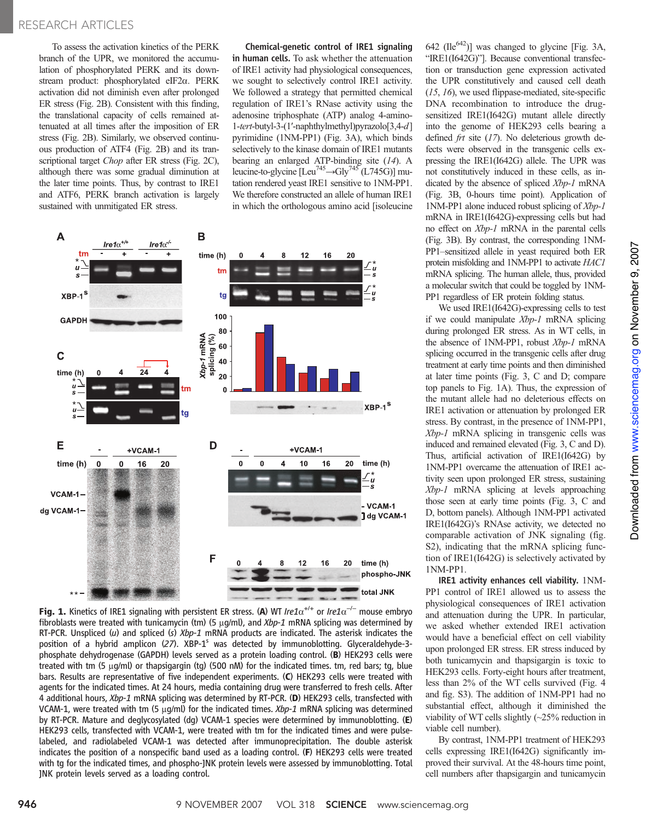### RESEARCH ARTICLES

To assess the activation kinetics of the PERK branch of the UPR, we monitored the accumulation of phosphorylated PERK and its downstream product: phosphorylated eIF2a. PERK activation did not diminish even after prolonged ER stress (Fig. 2B). Consistent with this finding, the translational capacity of cells remained attenuated at all times after the imposition of ER stress (Fig. 2B). Similarly, we observed continuous production of ATF4 (Fig. 2B) and its transcriptional target *Chop* after ER stress (Fig. 2C), although there was some gradual diminution at the later time points. Thus, by contrast to IRE1 and ATF6, PERK branch activation is largely sustained with unmitigated ER stress.

Chemical-genetic control of IRE1 signaling in human cells. To ask whether the attenuation of IRE1 activity had physiological consequences, we sought to selectively control IRE1 activity. We followed a strategy that permitted chemical regulation of IRE1's RNase activity using the adenosine triphosphate (ATP) analog 4-amino-1-tert-butyl-3-(1′-naphthylmethyl)pyrazolo[3,4-d] pyrimidine (1NM-PP1) (Fig. 3A), which binds selectively to the kinase domain of IRE1 mutants bearing an enlarged ATP-binding site (14). A leucine-to-glycine  $[Leu^{745} \rightarrow Gly^{745} (L745G)]$  mutation rendered yeast IRE1 sensitive to 1NM-PP1. We therefore constructed an allele of human IRE1 in which the orthologous amino acid [isoleucine





 $642$  (Ile<sup>642</sup>)] was changed to glycine [Fig. 3A, "IRE1(I642G)"]. Because conventional transfection or transduction gene expression activated the UPR constitutively and caused cell death (15, 16), we used flippase-mediated, site-specific DNA recombination to introduce the drugsensitized IRE1(I642G) mutant allele directly into the genome of HEK293 cells bearing a defined *frt* site (17). No deleterious growth defects were observed in the transgenic cells expressing the IRE1(I642G) allele. The UPR was not constitutively induced in these cells, as indicated by the absence of spliced Xbp-1 mRNA (Fig. 3B, 0-hours time point). Application of 1NM-PP1 alone induced robust splicing of Xbp-1 mRNA in IRE1(I642G)-expressing cells but had no effect on *Xbp-1* mRNA in the parental cells (Fig. 3B). By contrast, the corresponding 1NM-PP1–sensitized allele in yeast required both ER protein misfolding and 1NM-PP1 to activate HAC1 mRNA splicing. The human allele, thus, provided a molecular switch that could be toggled by 1NM-PP1 regardless of ER protein folding status.

We used IRE1(I642G)-expressing cells to test if we could manipulate  $Xbp-1$  mRNA splicing during prolonged ER stress. As in WT cells, in the absence of 1NM-PP1, robust Xbp-1 mRNA splicing occurred in the transgenic cells after drug treatment at early time points and then diminished at later time points (Fig. 3, C and D; compare top panels to Fig. 1A). Thus, the expression of the mutant allele had no deleterious effects on IRE1 activation or attenuation by prolonged ER stress. By contrast, in the presence of 1NM-PP1, Xbp-1 mRNA splicing in transgenic cells was induced and remained elevated (Fig. 3, C and D). Thus, artificial activation of IRE1(I642G) by 1NM-PP1 overcame the attenuation of IRE1 activity seen upon prolonged ER stress, sustaining Xbp-1 mRNA splicing at levels approaching those seen at early time points (Fig. 3, C and D, bottom panels). Although 1NM-PP1 activated IRE1(I642G)'s RNAse activity, we detected no comparable activation of JNK signaling (fig. S2), indicating that the mRNA splicing function of IRE1(I642G) is selectively activated by 1NM-PP1.

IRE1 activity enhances cell viability. 1NM-PP1 control of IRE1 allowed us to assess the physiological consequences of IRE1 activation and attenuation during the UPR. In particular, we asked whether extended IRE1 activation would have a beneficial effect on cell viability upon prolonged ER stress. ER stress induced by both tunicamycin and thapsigargin is toxic to HEK293 cells. Forty-eight hours after treatment, less than 2% of the WT cells survived (Fig. 4 and fig. S3). The addition of 1NM-PP1 had no substantial effect, although it diminished the viability of WT cells slightly (~25% reduction in viable cell number).

By contrast, 1NM-PP1 treatment of HEK293 cells expressing IRE1(I642G) significantly improved their survival. At the 48-hours time point, cell numbers after thapsigargin and tunicamycin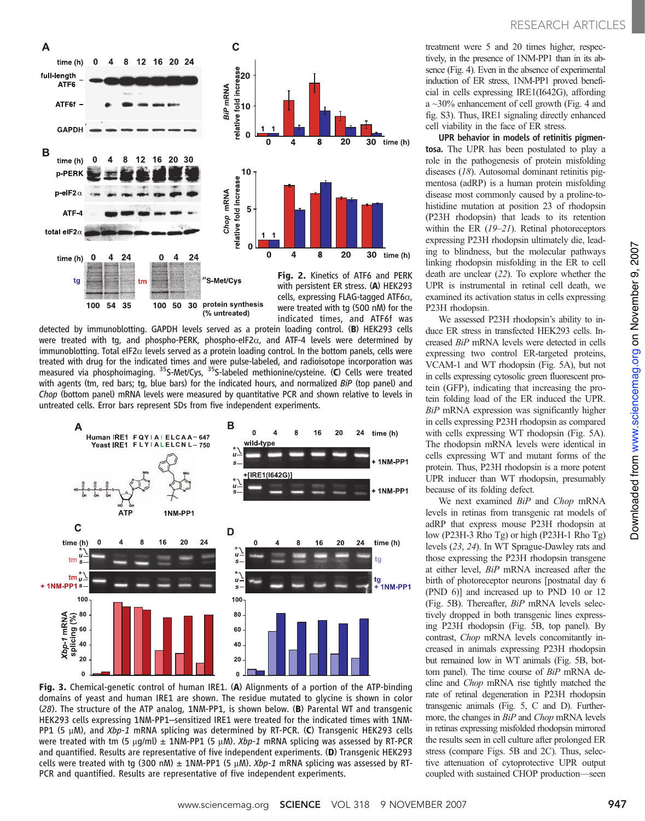

detected by immunoblotting. GAPDH levels served as a protein loading control. (B) HEK293 cells were treated with tg, and phospho-PERK, phospho-eIF2 $\alpha$ , and ATF-4 levels were determined by immunoblotting. Total eIF2 $\alpha$  levels served as a protein loading control. In the bottom panels, cells were treated with drug for the indicated times and were pulse-labeled, and radioisotope incorporation was measured via phosphoimaging. <sup>35</sup>S-Met/Cys, <sup>35</sup>S-labeled methionine/cysteine. (C) Cells were treated with agents (tm, red bars; tg, blue bars) for the indicated hours, and normalized BiP (top panel) and Chop (bottom panel) mRNA levels were measured by quantitative PCR and shown relative to levels in untreated cells. Error bars represent SDs from five independent experiments.



Fig. 3. Chemical-genetic control of human IRE1. (A) Alignments of a portion of the ATP-binding domains of yeast and human IRE1 are shown. The residue mutated to glycine is shown in color (28). The structure of the ATP analog, 1NM-PP1, is shown below. (B) Parental WT and transgenic HEK293 cells expressing 1NM-PP1–sensitized IRE1 were treated for the indicated times with 1NM-PP1 (5  $\mu$ M), and Xbp-1 mRNA splicing was determined by RT-PCR. (C) Transgenic HEK293 cells were treated with tm (5  $\mu$ g/ml)  $\pm$  1NM-PP1 (5  $\mu$ M). *Xbp-1* mRNA splicing was assessed by RT-PCR and quantified. Results are representative of five independent experiments. (D) Transgenic HEK293 cells were treated with tg (300 nM)  $\pm$  1NM-PP1 (5  $\mu$ M). Xbp-1 mRNA splicing was assessed by RT-PCR and quantified. Results are representative of five independent experiments.

treatment were 5 and 20 times higher, respectively, in the presence of 1NM-PP1 than in its absence (Fig. 4). Even in the absence of experimental induction of ER stress, 1NM-PP1 proved beneficial in cells expressing IRE1(I642G), affording a ~30% enhancement of cell growth (Fig. 4 and fig. S3). Thus, IRE1 signaling directly enhanced cell viability in the face of ER stress.

UPR behavior in models of retinitis pigmentosa. The UPR has been postulated to play a role in the pathogenesis of protein misfolding diseases (18). Autosomal dominant retinitis pigmentosa (adRP) is a human protein misfolding disease most commonly caused by a proline-tohistidine mutation at position 23 of rhodopsin (P23H rhodopsin) that leads to its retention within the ER (19–21). Retinal photoreceptors expressing P23H rhodopsin ultimately die, leading to blindness, but the molecular pathways linking rhodopsin misfolding in the ER to cell death are unclear (22). To explore whether the UPR is instrumental in retinal cell death, we examined its activation status in cells expressing P23H rhodopsin.

We assessed P23H rhodopsin's ability to induce ER stress in transfected HEK293 cells. Increased BiP mRNA levels were detected in cells expressing two control ER-targeted proteins, VCAM-1 and WT rhodopsin (Fig. 5A), but not in cells expressing cytosolic green fluorescent protein (GFP), indicating that increasing the protein folding load of the ER induced the UPR. BiP mRNA expression was significantly higher in cells expressing P23H rhodopsin as compared with cells expressing WT rhodopsin (Fig. 5A). The rhodopsin mRNA levels were identical in cells expressing WT and mutant forms of the protein. Thus, P23H rhodopsin is a more potent UPR inducer than WT rhodopsin, presumably because of its folding defect.

We next examined  $BiP$  and  $Chop$  mRNA levels in retinas from transgenic rat models of adRP that express mouse P23H rhodopsin at low (P23H-3 Rho Tg) or high (P23H-1 Rho Tg) levels (23, 24). In WT Sprague-Dawley rats and those expressing the P23H rhodopsin transgene at either level, BiP mRNA increased after the birth of photoreceptor neurons [postnatal day 6 (PND 6)] and increased up to PND 10 or 12 (Fig. 5B). Thereafter, BiP mRNA levels selectively dropped in both transgenic lines expressing P23H rhodopsin (Fig. 5B, top panel). By contrast, Chop mRNA levels concomitantly increased in animals expressing P23H rhodopsin but remained low in WT animals (Fig. 5B, bottom panel). The time course of BiP mRNA decline and Chop mRNA rise tightly matched the rate of retinal degeneration in P23H rhodopsin transgenic animals (Fig. 5, C and D). Furthermore, the changes in  $BiP$  and *Chop* mRNA levels in retinas expressing misfolded rhodopsin mirrored the results seen in cell culture after prolonged ER stress (compare Figs. 5B and 2C). Thus, selective attenuation of cytoprotective UPR output coupled with sustained CHOP production—seen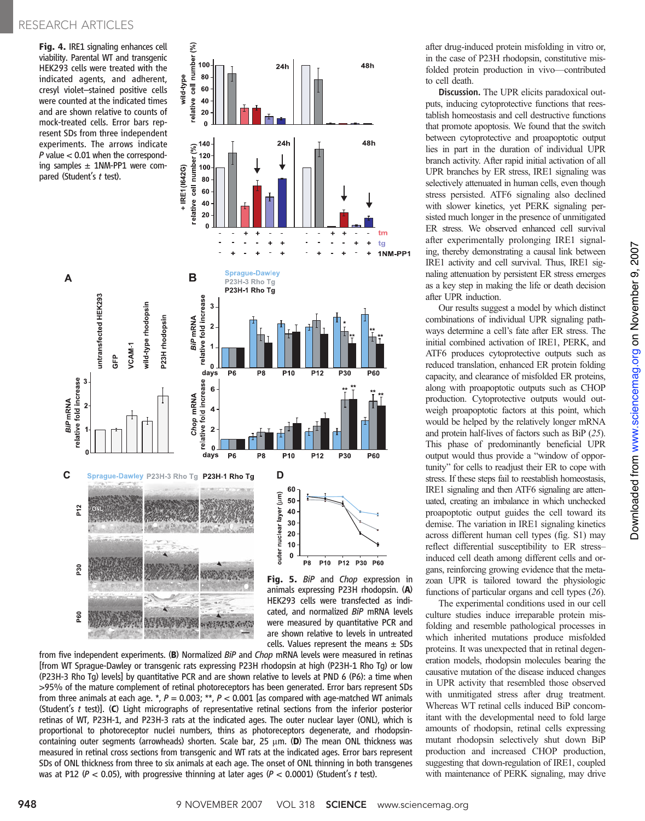Fig. 4. IRE1 signaling enhances cell viability. Parental WT and transgenic HEK293 cells were treated with the indicated agents, and adherent, cresyl violet–stained positive cells were counted at the indicated times and are shown relative to counts of mock-treated cells. Error bars represent SDs from three independent experiments. The arrows indicate  $P$  value  $< 0.01$  when the corresponding samples  $\pm$  1NM-PP1 were compared (Student's t test).



100

80

 $24h$ 

from five independent experiments. (B) Normalized BiP and Chop mRNA levels were measured in retinas [from WT Sprague-Dawley or transgenic rats expressing P23H rhodopsin at high (P23H-1 Rho Tg) or low (P23H-3 Rho Tg) levels] by quantitative PCR and are shown relative to levels at PND 6 (P6): a time when >95% of the mature complement of retinal photoreceptors has been generated. Error bars represent SDs from three animals at each age. \*,  $P = 0.003$ ; \*\*,  $P < 0.001$  [as compared with age-matched WT animals (Student's  $t$  test)]. (C) Light micrographs of representative retinal sections from the inferior posterior retinas of WT, P23H-1, and P23H-3 rats at the indicated ages. The outer nuclear layer (ONL), which is proportional to photoreceptor nuclei numbers, thins as photoreceptors degenerate, and rhodopsincontaining outer segments (arrowheads) shorten. Scale bar,  $25 \mu m$ . (D) The mean ONL thickness was measured in retinal cross sections from transgenic and WT rats at the indicated ages. Error bars represent SDs of ONL thickness from three to six animals at each age. The onset of ONL thinning in both transgenes was at P12 ( $P < 0.05$ ), with progressive thinning at later ages ( $P < 0.0001$ ) (Student's t test).

after drug-induced protein misfolding in vitro or, in the case of P23H rhodopsin, constitutive misfolded protein production in vivo—contributed to cell death.

48h

Discussion. The UPR elicits paradoxical outputs, inducing cytoprotective functions that reestablish homeostasis and cell destructive functions that promote apoptosis. We found that the switch between cytoprotective and proapoptotic output lies in part in the duration of individual UPR branch activity. After rapid initial activation of all UPR branches by ER stress, IRE1 signaling was selectively attenuated in human cells, even though stress persisted. ATF6 signaling also declined with slower kinetics, yet PERK signaling persisted much longer in the presence of unmitigated ER stress. We observed enhanced cell survival after experimentally prolonging IRE1 signaling, thereby demonstrating a causal link between IRE1 activity and cell survival. Thus, IRE1 signaling attenuation by persistent ER stress emerges as a key step in making the life or death decision after UPR induction.

Our results suggest a model by which distinct combinations of individual UPR signaling pathways determine a cell's fate after ER stress. The initial combined activation of IRE1, PERK, and ATF6 produces cytoprotective outputs such as reduced translation, enhanced ER protein folding capacity, and clearance of misfolded ER proteins, along with proapoptotic outputs such as CHOP production. Cytoprotective outputs would outweigh proapoptotic factors at this point, which would be helped by the relatively longer mRNA and protein half-lives of factors such as BiP (25). This phase of predominantly beneficial UPR output would thus provide a "window of opportunity" for cells to readjust their ER to cope with stress. If these steps fail to reestablish homeostasis, IRE1 signaling and then ATF6 signaling are attenuated, creating an imbalance in which unchecked proapoptotic output guides the cell toward its demise. The variation in IRE1 signaling kinetics across different human cell types (fig. S1) may reflect differential susceptibility to ER stress– induced cell death among different cells and organs, reinforcing growing evidence that the metazoan UPR is tailored toward the physiologic functions of particular organs and cell types (26).

The experimental conditions used in our cell culture studies induce irreparable protein misfolding and resemble pathological processes in which inherited mutations produce misfolded proteins. It was unexpected that in retinal degeneration models, rhodopsin molecules bearing the causative mutation of the disease induced changes in UPR activity that resembled those observed with unmitigated stress after drug treatment. Whereas WT retinal cells induced BiP concomitant with the developmental need to fold large amounts of rhodopsin, retinal cells expressing mutant rhodopsin selectively shut down BiP production and increased CHOP production, suggesting that down-regulation of IRE1, coupled with maintenance of PERK signaling, may drive